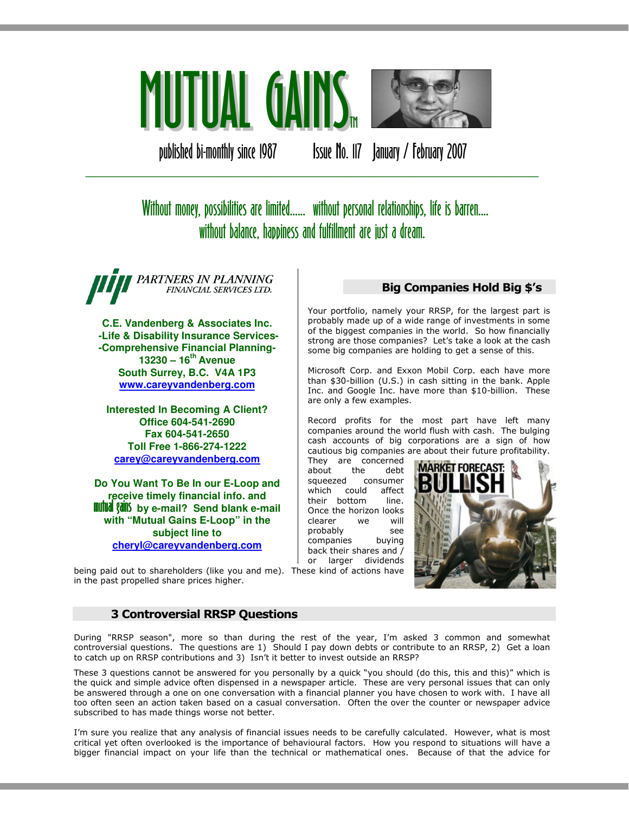

published bi-monthly since 1987 Issue No. 117 January / February 2007

# Without money, possibilities are limited...... without personal relationships, life is barren.... without balance, happiness and fulfillment are just a dream.

\_\_\_\_\_\_\_\_\_\_\_\_\_\_\_\_\_\_\_\_\_\_\_\_\_\_\_\_\_\_\_\_\_\_\_\_\_\_\_\_\_\_\_\_\_\_\_\_\_\_\_\_\_\_\_\_\_\_\_\_\_\_\_

PARTNERS IN PLANNING FINANCIAL SERVICES LTD.

**C.E. Vandenberg & Associates Inc. -Life & Disability Insurance Services- -Comprehensive Financial Planning-13230 – 16th Avenue South Surrey, B.C. V4A 1P3 www.careyvandenberg.com**

**Interested In Becoming A Client? Office 604-541-2690 Fax 604-541-2650 Toll Free 1-866-274-1222 carey@careyvandenberg.com**

**Do You Want To Be In our E-Loop and receive timely financial info. and<br><b>mutual gains** by e-mail? Send blank e-mail **with "Mutual Gains E-Loop" in the subject line to cheryl@careyvandenberg.com**

# Big Companies Hold Big \$'s

Your portfolio, namely your RRSP, for the largest part is probably made up of a wide range of investments in some of the biggest companies in the world. So how financially strong are those companies? Let's take a look at the cash some big companies are holding to get a sense of this.

Microsoft Corp. and Exxon Mobil Corp. each have more than \$30-billion (U.S.) in cash sitting in the bank. Apple Inc. and Google Inc. have more than \$10-billion. These are only a few examples.

Record profits for the most part have left many companies around the world flush with cash. The bulging cash accounts of big corporations are a sign of how cautious big companies are about their future profitability.

They are concerned about the debt squeezed consumer which could affect their bottom line. Once the horizon looks clearer we will probably see<br>companies buying companies back their shares and / or larger dividends



being paid out to shareholders (like you and me). These kind of actions have in the past propelled share prices higher.

## 3 Controversial RRSP Questions

During "RRSP season", more so than during the rest of the year, I'm asked 3 common and somewhat controversial questions. The questions are 1) Should I pay down debts or contribute to an RRSP, 2) Get a loan to catch up on RRSP contributions and 3) Isn't it better to invest outside an RRSP?

These 3 questions cannot be answered for you personally by a quick "you should (do this, this and this)" which is the quick and simple advice often dispensed in a newspaper article. These are very personal issues that can only be answered through a one on one conversation with a financial planner you have chosen to work with. I have all too often seen an action taken based on a casual conversation. Often the over the counter or newspaper advice subscribed to has made things worse not better.

I'm sure you realize that any analysis of financial issues needs to be carefully calculated. However, what is most critical yet often overlooked is the importance of behavioural factors. How you respond to situations will have a bigger financial impact on your life than the technical or mathematical ones. Because of that the advice for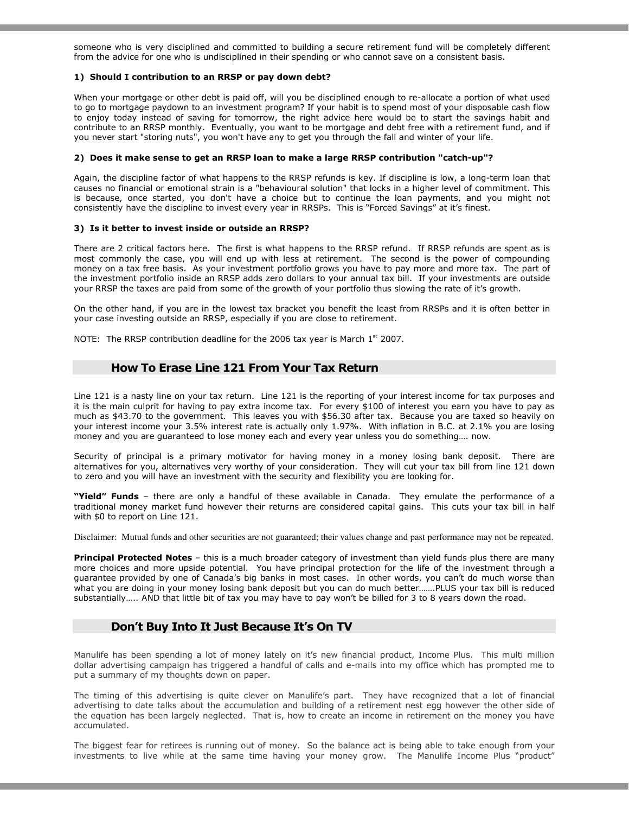someone who is very disciplined and committed to building a secure retirement fund will be completely different from the advice for one who is undisciplined in their spending or who cannot save on a consistent basis.

#### 1) Should I contribution to an RRSP or pay down debt?

When your mortgage or other debt is paid off, will you be disciplined enough to re-allocate a portion of what used to go to mortgage paydown to an investment program? If your habit is to spend most of your disposable cash flow to enjoy today instead of saving for tomorrow, the right advice here would be to start the savings habit and contribute to an RRSP monthly. Eventually, you want to be mortgage and debt free with a retirement fund, and if you never start "storing nuts", you won't have any to get you through the fall and winter of your life.

#### 2) Does it make sense to get an RRSP loan to make a large RRSP contribution "catch-up"?

Again, the discipline factor of what happens to the RRSP refunds is key. If discipline is low, a long-term loan that causes no financial or emotional strain is a "behavioural solution" that locks in a higher level of commitment. This is because, once started, you don't have a choice but to continue the loan payments, and you might not consistently have the discipline to invest every year in RRSPs. This is "Forced Savings" at it's finest.

#### 3) Is it better to invest inside or outside an RRSP?

There are 2 critical factors here. The first is what happens to the RRSP refund. If RRSP refunds are spent as is most commonly the case, you will end up with less at retirement. The second is the power of compounding money on a tax free basis. As your investment portfolio grows you have to pay more and more tax. The part of the investment portfolio inside an RRSP adds zero dollars to your annual tax bill. If your investments are outside your RRSP the taxes are paid from some of the growth of your portfolio thus slowing the rate of it's growth.

On the other hand, if you are in the lowest tax bracket you benefit the least from RRSPs and it is often better in your case investing outside an RRSP, especially if you are close to retirement.

NOTE: The RRSP contribution deadline for the 2006 tax year is March  $1<sup>st</sup>$  2007.

#### How To Erase Line 121 From Your Tax Return

Line 121 is a nasty line on your tax return. Line 121 is the reporting of your interest income for tax purposes and it is the main culprit for having to pay extra income tax. For every \$100 of interest you earn you have to pay as much as \$43.70 to the government. This leaves you with \$56.30 after tax. Because you are taxed so heavily on your interest income your 3.5% interest rate is actually only 1.97%. With inflation in B.C. at 2.1% you are losing money and you are guaranteed to lose money each and every year unless you do something…. now.

Security of principal is a primary motivator for having money in a money losing bank deposit. There are alternatives for you, alternatives very worthy of your consideration. They will cut your tax bill from line 121 down to zero and you will have an investment with the security and flexibility you are looking for.

"Yield" Funds - there are only a handful of these available in Canada. They emulate the performance of a traditional money market fund however their returns are considered capital gains. This cuts your tax bill in half with \$0 to report on Line 121.

Disclaimer: Mutual funds and other securities are not guaranteed; their values change and past performance may not be repeated.

Principal Protected Notes - this is a much broader category of investment than yield funds plus there are many more choices and more upside potential. You have principal protection for the life of the investment through a guarantee provided by one of Canada's big banks in most cases. In other words, you can't do much worse than what you are doing in your money losing bank deposit but you can do much better…….PLUS your tax bill is reduced substantially….. AND that little bit of tax you may have to pay won't be billed for 3 to 8 years down the road.

## Don't Buy Into It Just Because It's On TV

Manulife has been spending a lot of money lately on it's new financial product, Income Plus. This multi million dollar advertising campaign has triggered a handful of calls and e-mails into my office which has prompted me to put a summary of my thoughts down on paper.

The timing of this advertising is quite clever on Manulife's part. They have recognized that a lot of financial advertising to date talks about the accumulation and building of a retirement nest egg however the other side of the equation has been largely neglected. That is, how to create an income in retirement on the money you have accumulated.

The biggest fear for retirees is running out of money. So the balance act is being able to take enough from your investments to live while at the same time having your money grow. The Manulife Income Plus "product"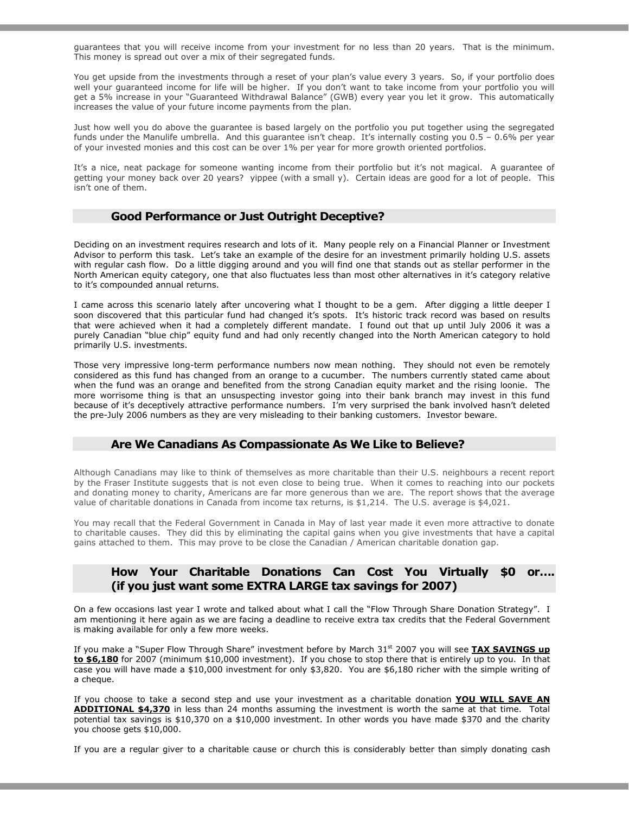guarantees that you will receive income from your investment for no less than 20 years. That is the minimum. This money is spread out over a mix of their segregated funds.

You get upside from the investments through a reset of your plan's value every 3 years. So, if your portfolio does well your guaranteed income for life will be higher. If you don't want to take income from your portfolio you will get a 5% increase in your "Guaranteed Withdrawal Balance" (GWB) every year you let it grow. This automatically increases the value of your future income payments from the plan.

Just how well you do above the guarantee is based largely on the portfolio you put together using the segregated funds under the Manulife umbrella. And this guarantee isn't cheap. It's internally costing you 0.5 – 0.6% per year of your invested monies and this cost can be over 1% per year for more growth oriented portfolios.

It's a nice, neat package for someone wanting income from their portfolio but it's not magical. A guarantee of getting your money back over 20 years? yippee (with a small y). Certain ideas are good for a lot of people. This isn't one of them.

## Good Performance or Just Outright Deceptive?

Deciding on an investment requires research and lots of it. Many people rely on a Financial Planner or Investment Advisor to perform this task. Let's take an example of the desire for an investment primarily holding U.S. assets with regular cash flow. Do a little digging around and you will find one that stands out as stellar performer in the North American equity category, one that also fluctuates less than most other alternatives in it's category relative to it's compounded annual returns.

I came across this scenario lately after uncovering what I thought to be a gem. After digging a little deeper I soon discovered that this particular fund had changed it's spots. It's historic track record was based on results that were achieved when it had a completely different mandate. I found out that up until July 2006 it was a purely Canadian "blue chip" equity fund and had only recently changed into the North American category to hold primarily U.S. investments.

Those very impressive long-term performance numbers now mean nothing. They should not even be remotely considered as this fund has changed from an orange to a cucumber. The numbers currently stated came about when the fund was an orange and benefited from the strong Canadian equity market and the rising loonie. The more worrisome thing is that an unsuspecting investor going into their bank branch may invest in this fund because of it's deceptively attractive performance numbers. I'm very surprised the bank involved hasn't deleted the pre-July 2006 numbers as they are very misleading to their banking customers. Investor beware.

## Are We Canadians As Compassionate As We Like to Believe?

Although Canadians may like to think of themselves as more charitable than their U.S. neighbours a recent report by the Fraser Institute suggests that is not even close to being true. When it comes to reaching into our pockets and donating money to charity, Americans are far more generous than we are. The report shows that the average value of charitable donations in Canada from income tax returns, is \$1,214. The U.S. average is \$4,021.

You may recall that the Federal Government in Canada in May of last year made it even more attractive to donate to charitable causes. They did this by eliminating the capital gains when you give investments that have a capital gains attached to them. This may prove to be close the Canadian / American charitable donation gap.

## How Your Charitable Donations Can Cost You Virtually \$0 or…. (if you just want some EXTRA LARGE tax savings for 2007)

On a few occasions last year I wrote and talked about what I call the "Flow Through Share Donation Strategy". I am mentioning it here again as we are facing a deadline to receive extra tax credits that the Federal Government is making available for only a few more weeks.

If you make a "Super Flow Through Share" investment before by March  $31<sup>st</sup>$  2007 you will see TAX SAVINGS up to \$6,180 for 2007 (minimum \$10,000 investment). If you chose to stop there that is entirely up to you. In that case you will have made a \$10,000 investment for only \$3,820. You are \$6,180 richer with the simple writing of a cheque.

If you choose to take a second step and use your investment as a charitable donation YOU WILL SAVE AN ADDITIONAL \$4,370 in less than 24 months assuming the investment is worth the same at that time. Total potential tax savings is \$10,370 on a \$10,000 investment. In other words you have made \$370 and the charity you choose gets \$10,000.

If you are a regular giver to a charitable cause or church this is considerably better than simply donating cash